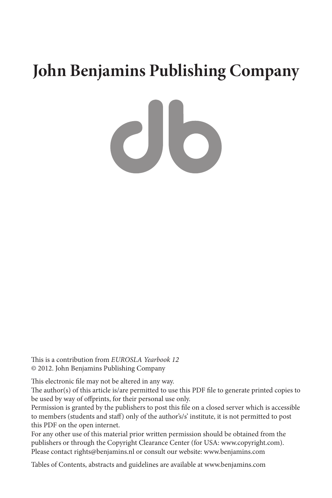# **John Benjamins Publishing Company**

 $\overline{c}$  to

This is a contribution from *EUROSLA Yearbook 12* © 2012. John Benjamins Publishing Company

This electronic file may not be altered in any way.

The author(s) of this article is/are permitted to use this PDF file to generate printed copies to be used by way of offprints, for their personal use only.

Permission is granted by the publishers to post this file on a closed server which is accessible to members (students and staff) only of the author's/s' institute, it is not permitted to post this PDF on the open internet.

For any other use of this material prior written permission should be obtained from the publishers or through the Copyright Clearance Center (for USA: www.copyright.com). Please contact rights@benjamins.nl or consult our website: www.benjamins.com

Tables of Contents, abstracts and guidelines are available at www.benjamins.com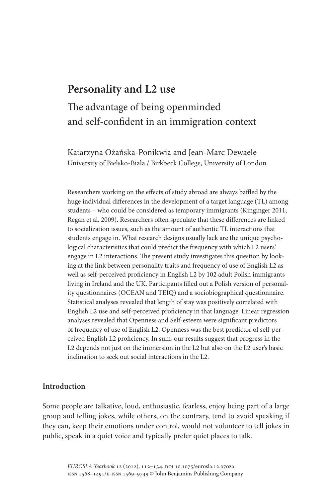# **Personality and L2 use**

# The advantage of being openminded and self-confident in an immigration context

Katarzyna Ożańska-Ponikwia and Jean-Marc Dewaele University of Bielsko-Biała / Birkbeck College, University of London

Researchers working on the effects of study abroad are always baffled by the huge individual differences in the development of a target language (TL) among students – who could be considered as temporary immigrants (Kinginger 2011; Regan et al. 2009). Researchers often speculate that these differences are linked to socialization issues, such as the amount of authentic TL interactions that students engage in. What research designs usually lack are the unique psychological characteristics that could predict the frequency with which L2 users' engage in L2 interactions. The present study investigates this question by looking at the link between personality traits and frequency of use of English L2 as well as self-perceived proficiency in English L2 by 102 adult Polish immigrants living in Ireland and the UK. Participants filled out a Polish version of personality questionnaires (OCEAN and TEIQ) and a sociobiographical questionnaire. Statistical analyses revealed that length of stay was positively correlated with English L2 use and self-perceived proficiency in that language. Linear regression analyses revealed that Openness and Self-esteem were significant predictors of frequency of use of English L2. Openness was the best predictor of self-perceived English L2 proficiency. In sum, our results suggest that progress in the L2 depends not just on the immersion in the L2 but also on the L2 user's basic inclination to seek out social interactions in the L2.

# **Introduction**

Some people are talkative, loud, enthusiastic, fearless, enjoy being part of a large group and telling jokes, while others, on the contrary, tend to avoid speaking if they can, keep their emotions under control, would not volunteer to tell jokes in public, speak in a quiet voice and typically prefer quiet places to talk.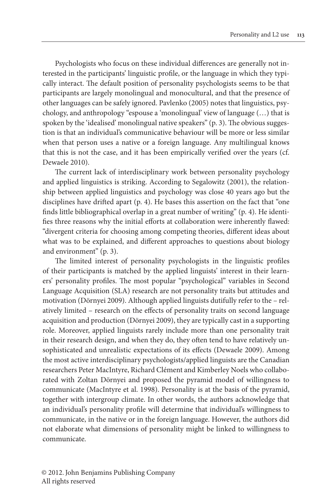Psychologists who focus on these individual differences are generally not interested in the participants' linguistic profile, or the language in which they typically interact. The default position of personality psychologists seems to be that participants are largely monolingual and monocultural, and that the presence of other languages can be safely ignored. Pavlenko (2005) notes that linguistics, psychology, and anthropology "espouse a 'monolingual' view of language (…) that is spoken by the 'idealised' monolingual native speakers" (p. 3). The obvious suggestion is that an individual's communicative behaviour will be more or less similar when that person uses a native or a foreign language. Any multilingual knows that this is not the case, and it has been empirically verified over the years (cf. Dewaele 2010).

The current lack of interdisciplinary work between personality psychology and applied linguistics is striking. According to Segalowitz (2001), the relationship between applied linguistics and psychology was close 40 years ago but the disciplines have drifted apart (p. 4). He bases this assertion on the fact that "one finds little bibliographical overlap in a great number of writing" (p. 4). He identifies three reasons why the initial efforts at collaboration were inherently flawed: "divergent criteria for choosing among competing theories, different ideas about what was to be explained, and different approaches to questions about biology and environment" (p. 3).

The limited interest of personality psychologists in the linguistic profiles of their participants is matched by the applied linguists' interest in their learners' personality profiles. The most popular "psychological" variables in Second Language Acquisition (SLA) research are not personality traits but attitudes and motivation (Dörnyei 2009). Although applied linguists dutifully refer to the – relatively limited – research on the effects of personality traits on second language acquisition and production (Dörnyei 2009), they are typically cast in a supporting role. Moreover, applied linguists rarely include more than one personality trait in their research design, and when they do, they often tend to have relatively unsophisticated and unrealistic expectations of its effects (Dewaele 2009). Among the most active interdisciplinary psychologists/applied linguists are the Canadian researchers Peter MacIntyre, Richard Clément and Kimberley Noels who collaborated with Zoltan Dörnyei and proposed the pyramid model of willingness to communicate (MacIntyre et al. 1998). Personality is at the basis of the pyramid, together with intergroup climate. In other words, the authors acknowledge that an individual's personality profile will determine that individual's willingness to communicate, in the native or in the foreign language. However, the authors did not elaborate what dimensions of personality might be linked to willingness to communicate.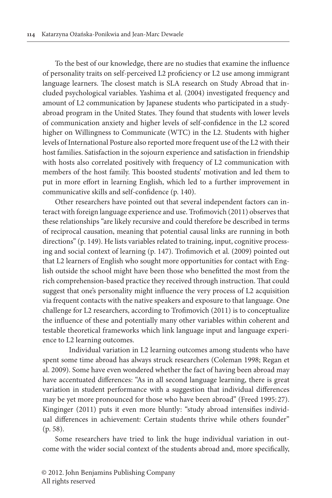To the best of our knowledge, there are no studies that examine the influence of personality traits on self-perceived L2 proficiency or L2 use among immigrant language learners. The closest match is SLA research on Study Abroad that included psychological variables. Yashima et al. (2004) investigated frequency and amount of L2 communication by Japanese students who participated in a studyabroad program in the United States. They found that students with lower levels of communication anxiety and higher levels of self-confidence in the L2 scored higher on Willingness to Communicate (WTC) in the L2. Students with higher levels of International Posture also reported more frequent use of the L2 with their host families. Satisfaction in the sojourn experience and satisfaction in friendship with hosts also correlated positively with frequency of L2 communication with members of the host family. This boosted students' motivation and led them to put in more effort in learning English, which led to a further improvement in communicative skills and self-confidence (p. 140).

Other researchers have pointed out that several independent factors can interact with foreign language experience and use. Trofimovich (2011) observesthat these relationships "are likely recursive and could therefore be described in terms of reciprocal causation, meaning that potential causal links are running in both directions" (p. 149). He lists variables related to training, input, cognitive processing and social context of learning (p. 147). Trofimovich et al. (2009) pointed out that L2 learners of English who sought more opportunities for contact with English outside the school might have been those who benefitted the most from the rich comprehension-based practice they received through instruction. That could suggest that one's personality might influence the very process of L2 acquisition via frequent contacts with the native speakers and exposure to that language. One challenge for L2 researchers, according to Trofimovich (2011) is to conceptualize the influence of these and potentially many other variables within coherent and testable theoretical frameworks which link language input and language experience to L2 learning outcomes.

Individual variation in L2 learning outcomes among students who have spent some time abroad has always struck researchers (Coleman 1998; Regan et al. 2009). Some have even wondered whether the fact of having been abroad may have accentuated differences: "As in all second language learning, there is great variation in student performance with a suggestion that individual differences may be yet more pronounced for those who have been abroad" (Freed 1995: 27). Kinginger (2011) puts it even more bluntly: "study abroad intensifies individual differences in achievement: Certain students thrive while others founder" (p. 58).

Some researchers have tried to link the huge individual variation in outcome with the wider social context of the students abroad and, more specifically,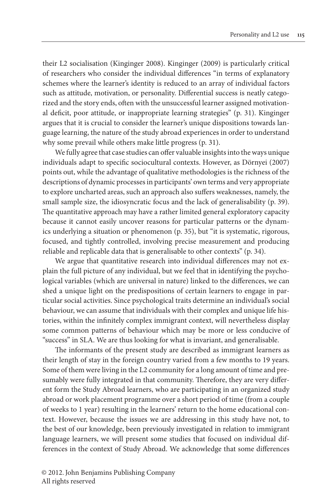their L2 socialisation (Kinginger 2008). Kinginger (2009) is particularly critical of researchers who consider the individual differences "in terms of explanatory schemes where the learner's identity is reduced to an array of individual factors such as attitude, motivation, or personality. Differential success is neatly categorized and the story ends, often with the unsuccessful learner assigned motivational deficit, poor attitude, or inappropriate learning strategies" (p. 31). Kinginger argues that it is crucial to consider the learner's unique dispositions towards language learning, the nature of the study abroad experiences in order to understand why some prevail while others make little progress (p. 31).

We fully agree that case studies can offer valuable insights into the ways unique individuals adapt to specific sociocultural contexts. However, as Dörnyei (2007) points out, while the advantage of qualitative methodologies is the richness of the descriptions of dynamic processesin participants' own terms and very appropriate to explore uncharted areas, such an approach also suffers weaknesses, namely, the small sample size, the idiosyncratic focus and the lack of generalisability (p. 39). The quantitative approach may have a rather limited general exploratory capacity because it cannot easily uncover reasons for particular patterns or the dynamics underlying a situation or phenomenon (p. 35), but "it is systematic, rigorous, focused, and tightly controlled, involving precise measurement and producing reliable and replicable data that is generalisable to other contexts" (p. 34).

We argue that quantitative research into individual differences may not explain the full picture of any individual, but we feel that in identifying the psychological variables (which are universal in nature) linked to the differences, we can shed a unique light on the predispositions of certain learners to engage in particular social activities. Since psychological traits determine an individual's social behaviour, we can assume that individuals with their complex and unique life histories, within the infinitely complex immigrant context, will nevertheless display some common patterns of behaviour which may be more or less conducive of "success" in SLA. We are thus looking for what is invariant, and generalisable.

The informants of the present study are described as immigrant learners as their length of stay in the foreign country varied from a few months to 19 years. Some of them were living in the L2 community for a long amount of time and presumably were fully integrated in that community. Therefore, they are very different form the Study Abroad learners, who are participating in an organized study abroad or work placement programme over a short period of time (from a couple of weeks to 1 year) resulting in the learners' return to the home educational context. However, because the issues we are addressing in this study have not, to the best of our knowledge, been previously investigated in relation to immigrant language learners, we will present some studies that focused on individual differences in the context of Study Abroad. We acknowledge that some differences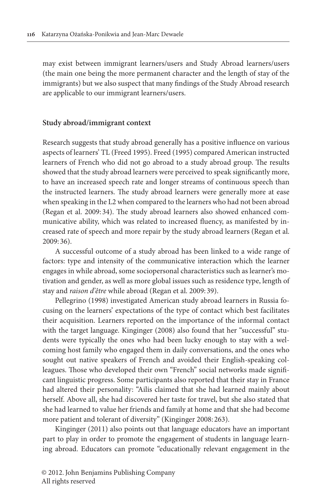may exist between immigrant learners/users and Study Abroad learners/users (the main one being the more permanent character and the length of stay of the immigrants) but we also suspect that many findings of the Study Abroad research are applicable to our immigrant learners/users.

#### **Study abroad/immigrant context**

Research suggests that study abroad generally has a positive influence on various aspects of learners' TL (Freed 1995). Freed (1995) compared American instructed learners of French who did not go abroad to a study abroad group. The results showed that the study abroad learners were perceived to speak significantly more, to have an increased speech rate and longer streams of continuous speech than the instructed learners. The study abroad learners were generally more at ease when speaking in the L2 when compared to the learners who had not been abroad (Regan et al. 2009: 34). The study abroad learners also showed enhanced communicative ability, which was related to increased fluency, as manifested by increased rate of speech and more repair by the study abroad learners (Regan et al. 2009: 36).

A successful outcome of a study abroad has been linked to a wide range of factors: type and intensity of the communicative interaction which the learner engages in while abroad, some sociopersonal characteristics such as learner's motivation and gender, as well as more global issues such as residence type, length of stay and *raison d'être* while abroad (Regan et al. 2009: 39).

Pellegrino (1998) investigated American study abroad learners in Russia focusing on the learners' expectations of the type of contact which best facilitates their acquisition. Learners reported on the importance of the informal contact with the target language. Kinginger (2008) also found that her "successful" students were typically the ones who had been lucky enough to stay with a welcoming host family who engaged them in daily conversations, and the ones who sought out native speakers of French and avoided their English-speaking colleagues. Those who developed their own "French" social networks made significant linguistic progress. Some participants also reported that their stay in France had altered their personality: "Ailis claimed that she had learned mainly about herself. Above all, she had discovered her taste for travel, but she also stated that she had learned to value her friends and family at home and that she had become more patient and tolerant of diversity" (Kinginger 2008: 263).

Kinginger (2011) also points out that language educators have an important part to play in order to promote the engagement of students in language learning abroad. Educators can promote "educationally relevant engagement in the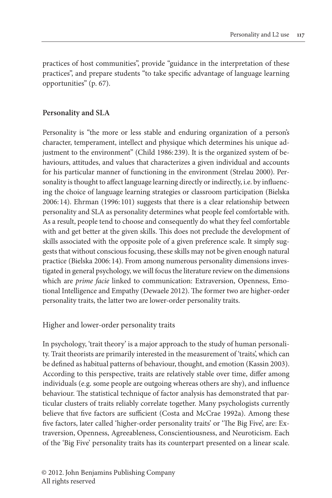practices of host communities", provide "guidance in the interpretation of these practices", and prepare students "to take specific advantage of language learning opportunities" (p. 67).

### **Personality and SLA**

Personality is "the more or less stable and enduring organization of a person's character, temperament, intellect and physique which determines his unique adjustment to the environment" (Child 1986:239). It is the organized system of behaviours, attitudes, and values that characterizes a given individual and accounts for his particular manner of functioning in the environment (Strelau 2000). Personality is thought to affect language learning directly or indirectly, i.e. by influencing the choice of language learning strategies or classroom participation (Bielska 2006:14). Ehrman (1996:101) suggests that there is a clear relationship between personality and SLA as personality determines what people feel comfortable with. As a result, people tend to choose and consequently do what they feel comfortable with and get better at the given skills. This does not preclude the development of skills associated with the opposite pole of a given preference scale. It simply suggests that without conscious focusing, these skills may not be given enough natural practice (Bielska 2006:14). From among numerous personality dimensions investigated in general psychology, we will focus the literature review on the dimensions which are *prime facie* linked to communication: Extraversion, Openness, Emotional Intelligence and Empathy (Dewaele 2012). The former two are higher-order personality traits, the latter two are lower-order personality traits.

#### Higher and lower-order personality traits

In psychology, 'trait theory' is a major approach to the study of human personality. Trait theorists are primarily interested in the measurement of 'traits', which can be defined as habitual patterns of behaviour, thought, and emotion (Kassin 2003). According to this perspective, traits are relatively stable over time, differ among individuals (e.g. some people are outgoing whereas others are shy), and influence behaviour. The statistical technique of factor analysis has demonstrated that particular clusters of traits reliably correlate together. Many psychologists currently believe that five factors are sufficient (Costa and McCrae 1992a). Among these five factors, later called 'higher-order personality traits' or 'The Big Five', are: Extraversion, Openness, Agreeableness, Conscientiousness, and Neuroticism. Each of the 'Big Five' personality traits has its counterpart presented on a linear scale.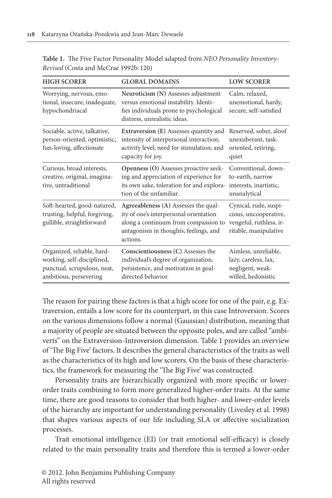| <b>HIGH SCORER</b>                                                                                                | <b>GLOBAL DOMAINS</b>                                                                                                                                                       | <b>LOW SCORER</b>                                                                                  |
|-------------------------------------------------------------------------------------------------------------------|-----------------------------------------------------------------------------------------------------------------------------------------------------------------------------|----------------------------------------------------------------------------------------------------|
| Worrying, nervous, emo-<br>tional, insecure, inadequate,<br>hypochondriacal                                       | Neuroticism (N) Assesses adjustment<br>versus emotional instability. Identi-<br>fies individuals prone to psychological<br>distress, unrealistic ideas.                     | Calm, relaxed,<br>unemotional, hardy,<br>secure, self-satisfied                                    |
| Sociable, active, talkative,<br>person-oriented, optimistic,<br>fun-loving, affectionate                          | Extraversion (E) Assesses quantity and<br>intensity of interpersonal interaction;<br>activity level; need for stimulation; and<br>capacity for joy.                         | Reserved, sober, aloof<br>unexuberant, task-<br>oriented, retiring,<br>quiet                       |
| Curious, broad interests,<br>creative, original, imagina-<br>tive, untraditional                                  | Openness (O) Assesses proactive seek-<br>ing and appreciation of experience for<br>its own sake, toleration for and explora-<br>tion of the unfamiliar.                     | Conventional, down-<br>to-earth, narrow<br>interests, inartistic,<br>unanalytical                  |
| Soft-hearted, good-natured,<br>trusting, helpful, forgiving,<br>gullible, straightforward                         | Agreeableness (A) Assesses the qual-<br>ity of one's interpersonal orientation<br>along a continuum from compassion to<br>antagonism in thoughts, feelings, and<br>actions. | Cynical, rude, suspi-<br>cious, uncooperative,<br>vengeful, ruthless, ir-<br>ritable, manipulative |
| Organized, reliable, hard-<br>working, self-disciplined,<br>punctual, scrupulous, neat,<br>ambitious, persevering | Conscientiousness (C) Assesses the<br>individual's degree of organization,<br>persistence, and motivation in goal-<br>directed behavior.                                    | Aimless, unreliable,<br>lazy, careless, lax,<br>negligent, weak-<br>willed, hedonistic             |

**Table 1.** The Five Factor Personality Model adapted from *NEO Personality Inventory-Revised* (Costa and McCrae 1992b: 120)

The reason for pairing these factors is that a high score for one of the pair, e.g. Extraversion, entails a low score for its counterpart, in this case Introversion. Scores on the various dimensions follow a normal (Gaussian) distribution, meaning that a majority of people are situated between the opposite poles, and are called "ambiverts" on the Extraversion-Introversion dimension. Table 1 provides an overview of 'The Big Five' factors. It describes the general characteristics of the traits as well as the characteristics of its high and low scorers. On the basis of these characteristics, the framework for measuring the 'The Big Five' was constructed.

Personality traits are hierarchically organized with more specific or lowerorder traits combining to form more generalized higher-order traits. At the same time, there are good reasons to consider that both higher- and lower-order levels of the hierarchy are important for understanding personality (Livesley et al. 1998) that shapes various aspects of our life including SLA or affective socialization processes.

Trait emotional intelligence (EI) (or trait emotional self-efficacy) is closely related to the main personality traits and therefore this is termed a lower-order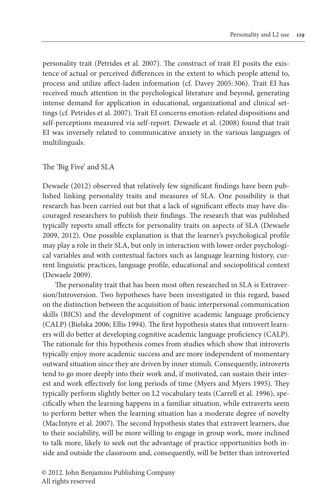personality trait (Petrides et al. 2007). The construct of trait EI posits the existence of actual or perceived differences in the extent to which people attend to, process and utilize affect-laden information (cf. Davey 2005: 306). Trait EI has received much attention in the psychological literature and beyond, generating intense demand for application in educational, organizational and clinical settings (cf. Petrides et al. 2007). Trait EI concerns emotion-related dispositions and self-perceptions measured via self-report. Dewaele et al. (2008) found that trait EI was inversely related to communicative anxiety in the various languages of multilinguals.

#### The 'Big Five' and SLA

Dewaele (2012) observed that relatively few significant findings have been published linking personality traits and measures of SLA. One possibility is that research has been carried out but that a lack of significant effects may have discouraged researchers to publish their findings. The research that was published typically reports small effects for personality traits on aspects of SLA (Dewaele 2009, 2012). One possible explanation is that the learner's psychological profile may play a role in their SLA, but only in interaction with lower order psychological variables and with contextual factors such as language learning history, current linguistic practices, language profile, educational and sociopolitical context (Dewaele 2009).

The personality trait that has been most often researched in SLA is Extraversion/Introversion. Two hypotheses have been investigated in this regard, based on the distinction between the acquisition of basic interpersonal communication skills (BICS) and the development of cognitive academic language proficiency (CALP) (Bielska 2006; Ellis 1994). The first hypothesis states that introvert learners will do better at developing cognitive academic language proficiency (CALP). The rationale for this hypothesis comes from studies which show that introverts typically enjoy more academic success and are more independent of momentary outward situation since they are driven by inner stimuli. Consequently, introverts tend to go more deeply into their work and, if motivated, can sustain their interest and work effectively for long periods of time (Myers and Myers 1995). They typically perform slightly better on L2 vocabulary tests (Carrell et al. 1996), specifically when the learning happens in a familiar situation, while extraverts seem to perform better when the learning situation has a moderate degree of novelty (MacIntyre et al. 2007). The second hypothesis states that extravert learners, due to their sociability, will be more willing to engage in group work, more inclined to talk more, likely to seek out the advantage of practice opportunities both inside and outside the classroom and, consequently, will be better than introverted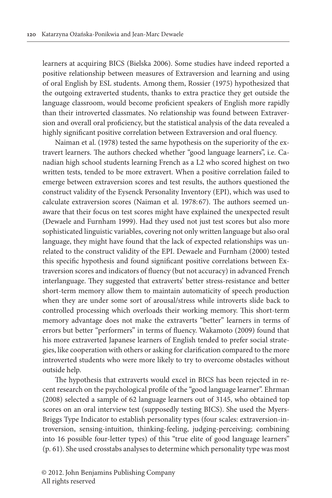learners at acquiring BICS (Bielska 2006). Some studies have indeed reported a positive relationship between measures of Extraversion and learning and using of oral English by ESL students. Among them, Rossier (1975) hypothesized that the outgoing extraverted students, thanks to extra practice they get outside the language classroom, would become proficient speakers of English more rapidly than their introverted classmates. No relationship was found between Extraversion and overall oral proficiency, but the statistical analysis of the data revealed a highly significant positive correlation between Extraversion and oral fluency.

Naiman et al. (1978) tested the same hypothesis on the superiority of the extravert learners. The authors checked whether "good language learners", i.e. Canadian high school students learning French as a L2 who scored highest on two written tests, tended to be more extravert. When a positive correlation failed to emerge between extraversion scores and test results, the authors questioned the construct validity of the Eysenck Personality Inventory (EPI), which was used to calculate extraversion scores (Naiman et al. 1978: 67). The authors seemed unaware that their focus on test scores might have explained the unexpected result (Dewaele and Furnham 1999). Had they used not just test scores but also more sophisticated linguistic variables, covering not only written language but also oral language, they might have found that the lack of expected relationships was unrelated to the construct validity of the EPI. Dewaele and Furnham (2000) tested this specific hypothesis and found significant positive correlations between Extraversion scores and indicators of fluency (but not accuracy) in advanced French interlanguage. They suggested that extraverts' better stress-resistance and better short-term memory allow them to maintain automaticity of speech production when they are under some sort of arousal/stress while introverts slide back to controlled processing which overloads their working memory. This short-term memory advantage does not make the extraverts "better" learners in terms of errors but better "performers" in terms of fluency. Wakamoto (2009) found that his more extraverted Japanese learners of English tended to prefer social strategies, like cooperation with others or asking for clarification compared to the more introverted students who were more likely to try to overcome obstacles without outside help.

The hypothesis that extraverts would excel in BICS has been rejected in recent research on the psychological profile of the "good language learner". Ehrman (2008) selected a sample of 62 language learners out of 3145, who obtained top scores on an oral interview test (supposedly testing BICS). She used the Myers-Briggs Type Indicator to establish personality types (four scales: extraversion-introversion, sensing-intuition, thinking-feeling, judging-perceiving; combining into 16 possible four-letter types) of this "true elite of good language learners" (p. 61). She used crosstabs analyses to determine which personality type was most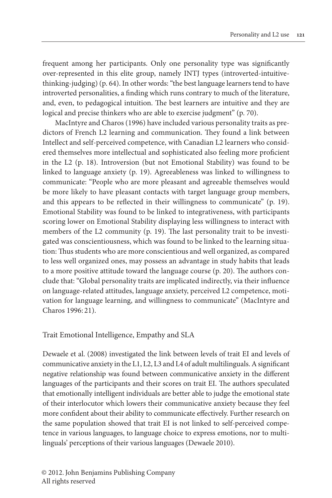frequent among her participants. Only one personality type was significantly over-represented in this elite group, namely INTJ types (introverted-intuitivethinking-judging) (p. 64). In other words:"the best language learners tend to have introverted personalities, a finding which runs contrary to much of the literature, and, even, to pedagogical intuition. The best learners are intuitive and they are logical and precise thinkers who are able to exercise judgment" (p. 70).

MacIntyre and Charos (1996) have included various personality traits as predictors of French L2 learning and communication. They found a link between Intellect and self-perceived competence, with Canadian L2 learners who considered themselves more intellectual and sophisticated also feeling more proficient in the L2 (p. 18). Introversion (but not Emotional Stability) was found to be linked to language anxiety (p. 19). Agreeableness was linked to willingness to communicate: "People who are more pleasant and agreeable themselves would be more likely to have pleasant contacts with target language group members, and this appears to be reflected in their willingness to communicate" (p. 19). Emotional Stability was found to be linked to integrativeness, with participants scoring lower on Emotional Stability displaying less willingness to interact with members of the L2 community (p. 19). The last personality trait to be investigated was conscientiousness, which was found to be linked to the learning situation: Thus students who are more conscientious and well organized, as compared to less well organized ones, may possess an advantage in study habits that leads to a more positive attitude toward the language course (p. 20). The authors conclude that: "Global personality traits are implicated indirectly, via their influence on language-related attitudes, language anxiety, perceived L2 competence, motivation for language learning, and willingness to communicate" (MacIntyre and Charos 1996: 21).

Trait Emotional Intelligence, Empathy and SLA

Dewaele et al. (2008) investigated the link between levels of trait EI and levels of communicative anxiety in the L1, L2, L3 and L4 of adult multilinguals.Asignificant negative relationship was found between communicative anxiety in the different languages of the participants and their scores on trait EI. The authors speculated that emotionally intelligent individuals are better able to judge the emotional state of their interlocutor which lowers their communicative anxiety because they feel more confident about their ability to communicate effectively. Further research on the same population showed that trait EI is not linked to self-perceived competence in various languages, to language choice to express emotions, nor to multilinguals' perceptions of their various languages (Dewaele 2010).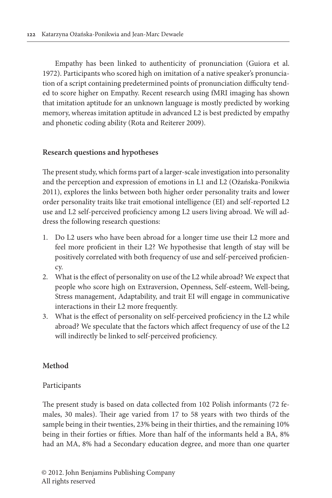Empathy has been linked to authenticity of pronunciation (Guiora et al. 1972). Participants who scored high on imitation of a native speaker's pronunciation of a script containing predetermined points of pronunciation difficulty tended to score higher on Empathy. Recent research using fMRI imaging has shown that imitation aptitude for an unknown language is mostly predicted by working memory, whereas imitation aptitude in advanced L2 is best predicted by empathy and phonetic coding ability (Rota and Reiterer 2009).

# **Research questions and hypotheses**

The present study, which forms part of a larger-scale investigation into personality and the perception and expression of emotions in L1 and L2 (Ożańska-Ponikwia 2011), explores the links between both higher order personality traits and lower order personality traits like trait emotional intelligence (EI) and self-reported L2 use and L2 self-perceived proficiency among L2 users living abroad. We will address the following research questions:

- 1. Do L2 users who have been abroad for a longer time use their L2 more and feel more proficient in their L2? We hypothesise that length of stay will be positively correlated with both frequency of use and self-perceived proficiency.
- 2. What is the effect of personality on use of the L2 while abroad? We expect that people who score high on Extraversion, Openness, Self-esteem, Well-being, Stress management, Adaptability, and trait EI will engage in communicative interactions in their L2 more frequently.
- 3. What is the effect of personality on self-perceived proficiency in the L2 while abroad? We speculate that the factors which affect frequency of use of the L2 will indirectly be linked to self-perceived proficiency.

# **Method**

# Participants

The present study is based on data collected from 102 Polish informants (72 females, 30 males). Their age varied from 17 to 58 years with two thirds of the sample being in their twenties, 23% being in their thirties, and the remaining 10% being in their forties or fifties. More than half of the informants held a BA, 8% had an MA, 8% had a Secondary education degree, and more than one quarter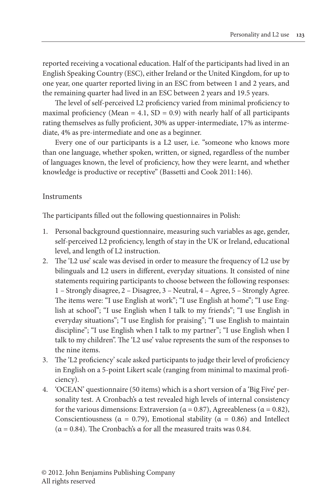reported receiving a vocational education. Half of the participants had lived in an English Speaking Country (ESC), either Ireland or the United Kingdom, for up to one year, one quarter reported living in an ESC from between 1 and 2 years, and the remaining quarter had lived in an ESC between 2 years and 19.5 years.

The level of self-perceived L2 proficiency varied from minimal proficiency to maximal proficiency (Mean = 4.1,  $SD = 0.9$ ) with nearly half of all participants rating themselves as fully proficient, 30% as upper-intermediate, 17% as intermediate, 4% as pre-intermediate and one as a beginner.

Every one of our participants is a L2 user, i.e. "someone who knows more than one language, whether spoken, written, or signed, regardless of the number of languages known, the level of proficiency, how they were learnt, and whether knowledge is productive or receptive" (Bassetti and Cook 2011: 146).

# Instruments

The participants filled out the following questionnaires in Polish:

- 1. Personal background questionnaire, measuring such variables as age, gender, self-perceived L2 proficiency, length of stay in the UK or Ireland, educational level, and length of L2 instruction.
- 2. The 'L2 use' scale was devised in order to measure the frequency of L2 use by bilinguals and L2 users in different, everyday situations. It consisted of nine statements requiring participants to choose between the following responses: 1 – Strongly disagree, 2 – Disagree, 3 – Neutral, 4 – Agree, 5 – Strongly Agree. The items were: "I use English at work"; "I use English at home"; "I use English at school"; "I use English when I talk to my friends"; "I use English in everyday situations"; "I use English for praising"; "I use English to maintain discipline"; "I use English when I talk to my partner"; "I use English when I talk to my children". The 'L2 use' value represents the sum of the responses to the nine items.
- 3. The 'L2 proficiency' scale asked participants to judge their level of proficiency in English on a 5-point Likert scale (ranging from minimal to maximal proficiency).
- 4. 'OCEAN' questionnaire (50 items) which is a short version of a 'Big Five' personality test. A Cronbach's α test revealed high levels of internal consistency for the various dimensions: Extraversion ( $\alpha$  = 0.87), Agreeableness ( $\alpha$  = 0.82), Conscientiousness ( $\alpha = 0.79$ ), Emotional stability ( $\alpha = 0.86$ ) and Intellect (α = 0.84). The Cronbach's α for all the measured traits was 0.84.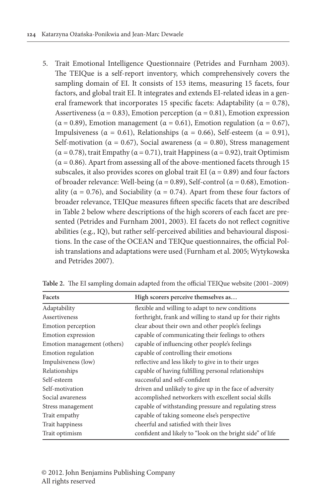5. Trait Emotional Intelligence Questionnaire (Petrides and Furnham 2003). The TEIQue is a self-report inventory, which comprehensively covers the sampling domain of EI. It consists of 153 items, measuring 15 facets, four factors, and global trait EI. It integrates and extends EI-related ideas in a general framework that incorporates 15 specific facets: Adaptability ( $\alpha = 0.78$ ), Assertiveness ( $\alpha$  = 0.83), Emotion perception ( $\alpha$  = 0.81), Emotion expression ( $\alpha$  = 0.89), Emotion management ( $\alpha$  = 0.61), Emotion regulation ( $\alpha$  = 0.67), Impulsiveness ( $\alpha = 0.61$ ), Relationships ( $\alpha = 0.66$ ), Self-esteem ( $\alpha = 0.91$ ), Self-motivation ( $\alpha = 0.67$ ), Social awareness ( $\alpha = 0.80$ ), Stress management ( $\alpha$  = 0.78), trait Empathy ( $\alpha$  = 0.71), trait Happiness ( $\alpha$  = 0.92), trait Optimism  $(\alpha = 0.86)$ . Apart from assessing all of the above-mentioned facets through 15 subscales, it also provides scores on global trait EI ( $\alpha$  = 0.89) and four factors of broader relevance: Well-being (α = 0.89), Self-control (α = 0.68), Emotionality ( $\alpha = 0.76$ ), and Sociability ( $\alpha = 0.74$ ). Apart from these four factors of broader relevance, TEIQue measures fifteen specific facets that are described in Table 2 below where descriptions of the high scorers of each facet are presented (Petrides and Furnham 2001, 2003). EI facets do not reflect cognitive abilities (e.g., IQ), but rather self-perceived abilities and behavioural dispositions. In the case of the OCEAN and TEIQue questionnaires, the official Polish translations and adaptations were used (Furnham et al. 2005; Wytykowska and Petrides 2007).

| Facets                      | High scorers perceive themselves as                        |
|-----------------------------|------------------------------------------------------------|
| Adaptability                | flexible and willing to adapt to new conditions            |
| Assertiveness               | forthright, frank and willing to stand up for their rights |
| Emotion perception          | clear about their own and other people's feelings          |
| Emotion expression          | capable of communicating their feelings to others          |
| Emotion management (others) | capable of influencing other people's feelings             |
| Emotion regulation          | capable of controlling their emotions                      |
| Impulsiveness (low)         | reflective and less likely to give in to their urges       |
| Relationships               | capable of having fulfilling personal relationships        |
| Self-esteem                 | successful and self-confident                              |
| Self-motivation             | driven and unlikely to give up in the face of adversity    |
| Social awareness            | accomplished networkers with excellent social skills       |
| Stress management           | capable of withstanding pressure and regulating stress     |
| Trait empathy               | capable of taking someone else's perspective               |
| Trait happiness             | cheerful and satisfied with their lives                    |
| Trait optimism              | confident and likely to "look on the bright side" of life  |

**Table 2.** The EI sampling domain adapted from the official TEIQue website (2001–2009)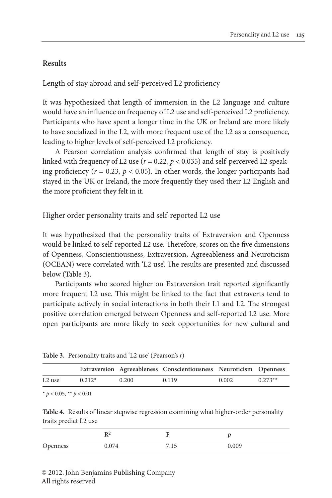# **Results**

Length of stay abroad and self-perceived L2 proficiency

It was hypothesized that length of immersion in the L2 language and culture would have an influence on frequency of L2 use and self-perceived L2 proficiency. Participants who have spent a longer time in the UK or Ireland are more likely to have socialized in the L2, with more frequent use of the L2 as a consequence, leading to higher levels of self-perceived L2 proficiency.

A Pearson correlation analysis confirmed that length of stay is positively linked with frequency of L2 use ( $r = 0.22$ ,  $p < 0.035$ ) and self-perceived L2 speaking proficiency ( $r = 0.23$ ,  $p < 0.05$ ). In other words, the longer participants had stayed in the UK or Ireland, the more frequently they used their L2 English and the more proficient they felt in it.

Higher order personality traits and self-reported L2 use

It was hypothesized that the personality traits of Extraversion and Openness would be linked to self-reported L2 use. Therefore, scores on the five dimensions of Openness, Conscientiousness, Extraversion, Agreeableness and Neuroticism (OCEAN) were correlated with 'L2 use'. The results are presented and discussed below (Table 3).

Participants who scored higher on Extraversion trait reported significantly more frequent L2 use. This might be linked to the fact that extraverts tend to participate actively in social interactions in both their L1 and L2. The strongest positive correlation emerged between Openness and self-reported L2 use. More open participants are more likely to seek opportunities for new cultural and

|           |          |       | Extraversion Agreeableness Conscientiousness Neuroticism Openness |       |           |
|-----------|----------|-------|-------------------------------------------------------------------|-------|-----------|
| $1.2$ use | $0.212*$ | 0.200 | 0.119                                                             | 0.002 | $0.273**$ |

**Table 3.** Personality traits and 'L2 use' (Pearson's *r*)

\*  $p < 0.05$ , \*\*  $p < 0.01$ 

**Table 4.** Results of linear stepwise regression examining what higher-order personality traits predict L2 use

| Openness | 074 | 1 E | 0.009 |
|----------|-----|-----|-------|

© 2012. John Benjamins Publishing Company All rights reserved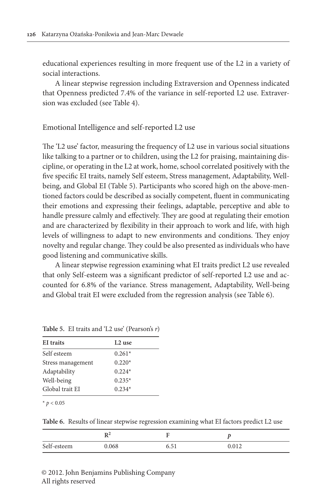educational experiences resulting in more frequent use of the L2 in a variety of social interactions.

A linear stepwise regression including Extraversion and Openness indicated that Openness predicted 7.4% of the variance in self-reported L2 use. Extraversion was excluded (see Table 4).

Emotional Intelligence and self-reported L2 use

The 'L2 use' factor, measuring the frequency of L2 use in various social situations like talking to a partner or to children, using the L2 for praising, maintaining discipline, or operating in the L2 at work, home, school correlated positively with the five specific EI traits, namely Self esteem, Stress management, Adaptability, Wellbeing, and Global EI (Table 5). Participants who scored high on the above-mentioned factors could be described as socially competent, fluent in communicating their emotions and expressing their feelings, adaptable, perceptive and able to handle pressure calmly and effectively. They are good at regulating their emotion and are characterized by flexibility in their approach to work and life, with high levels of willingness to adapt to new environments and conditions. They enjoy novelty and regular change. They could be also presented as individuals who have good listening and communicative skills.

A linear stepwise regression examining what EI traits predict L2 use revealed that only Self-esteem was a significant predictor of self-reported L2 use and accounted for 6.8% of the variance. Stress management, Adaptability, Well-being and Global trait EI were excluded from the regression analysis (see Table 6).

| L <sub>2</sub> use |
|--------------------|
| $0.261*$           |
| $0.220*$           |
| $0.224*$           |
| $0.235*$           |
| $0.234*$           |
|                    |

**Table 5.** EI traits and 'L2 use' (Pearson's *r*)

 $*$   $p < 0.05$ 

**Table 6.** Results of linear stepwise regression examining what EI factors predict L2 use

|             | 11    |      |       |
|-------------|-------|------|-------|
| Self-esteem | 0.068 | 6.51 | 0.012 |

© 2012. John Benjamins Publishing Company All rights reserved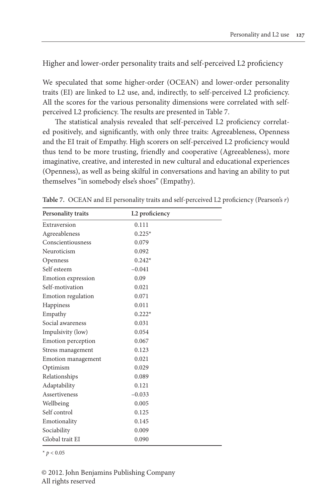Higher and lower-order personality traits and self-perceived L2 proficiency

We speculated that some higher-order (OCEAN) and lower-order personality traits (EI) are linked to L2 use, and, indirectly, to self-perceived L2 proficiency. All the scores for the various personality dimensions were correlated with selfperceived L2 proficiency. The results are presented in Table 7.

The statistical analysis revealed that self-perceived L2 proficiency correlated positively, and significantly, with only three traits: Agreeableness, Openness and the EI trait of Empathy. High scorers on self-perceived L2 proficiency would thus tend to be more trusting, friendly and cooperative (Agreeableness), more imaginative, creative, and interested in new cultural and educational experiences (Openness), as well as being skilful in conversations and having an ability to put themselves "in somebody else's shoes" (Empathy).

| <b>Personality traits</b> | L2 proficiency |
|---------------------------|----------------|
| Extraversion              | 0.111          |
| Agreeableness             | $0.225*$       |
| Conscientiousness         | 0.079          |
| Neuroticism               | 0.092          |
| Openness                  | $0.242*$       |
| Self esteem               | $-0.041$       |
| Emotion expression        | 0.09           |
| Self-motivation           | 0.021          |
| Emotion regulation        | 0.071          |
| Happiness                 | 0.011          |
| Empathy                   | $0.222*$       |
| Social awareness          | 0.031          |
| Impulsivity (low)         | 0.054          |
| Emotion perception        | 0.067          |
| Stress management         | 0.123          |
| Emotion management        | 0.021          |
| Optimism                  | 0.029          |
| Relationships             | 0.089          |
| Adaptability              | 0.121          |
| Assertiveness             | $-0.033$       |
| Wellbeing                 | 0.005          |
| Self control              | 0.125          |
| Emotionality              | 0.145          |
| Sociability               | 0.009          |
| Global trait EI           | 0.090          |

**Table 7.** OCEAN and EI personality traits and self-perceived L2 proficiency (Pearson's *r*)

 $*$   $p < 0.05$ 

© 2012. John Benjamins Publishing Company All rights reserved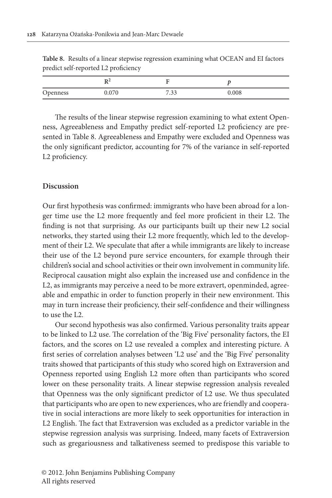| Openness | 0.070 | 7 22<br>ر ر. . | 0.008 |
|----------|-------|----------------|-------|

**Table 8.** Results of a linear stepwise regression examining what OCEAN and EI factors predict self-reported L2 proficiency

The results of the linear stepwise regression examining to what extent Openness, Agreeableness and Empathy predict self-reported L2 proficiency are presented in Table 8. Agreeableness and Empathy were excluded and Openness was the only significant predictor, accounting for 7% of the variance in self-reported L2 proficiency.

#### **Discussion**

Our first hypothesis was confirmed: immigrants who have been abroad for a longer time use the L2 more frequently and feel more proficient in their L2. The finding is not that surprising. As our participants built up their new L2 social networks, they started using their L2 more frequently, which led to the development of their L2. We speculate that after a while immigrants are likely to increase their use of the L2 beyond pure service encounters, for example through their children's social and school activities or their own involvement in community life. Reciprocal causation might also explain the increased use and confidence in the L2, as immigrants may perceive a need to be more extravert, openminded, agreeable and empathic in order to function properly in their new environment. This may in turn increase their proficiency, their self-confidence and their willingness to use the L2.

Our second hypothesis was also confirmed. Various personality traits appear to be linked to L2 use. The correlation of the 'Big Five' personality factors, the EI factors, and the scores on L2 use revealed a complex and interesting picture. A first series of correlation analyses between 'L2 use' and the 'Big Five' personality traits showed that participants of this study who scored high on Extraversion and Openness reported using English L2 more often than participants who scored lower on these personality traits. A linear stepwise regression analysis revealed that Openness was the only significant predictor of L2 use. We thus speculated that participants who are open to new experiences, who are friendly and cooperative in social interactions are more likely to seek opportunities for interaction in L2 English. The fact that Extraversion was excluded as a predictor variable in the stepwise regression analysis was surprising. Indeed, many facets of Extraversion such as gregariousness and talkativeness seemed to predispose this variable to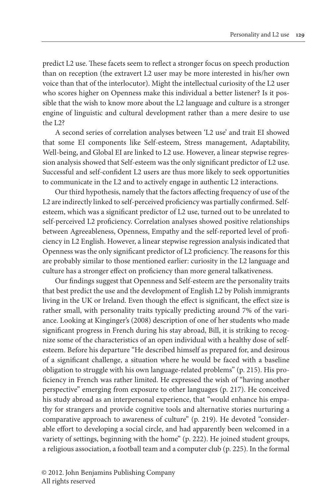predict L2 use. These facets seem to reflect a stronger focus on speech production than on reception (the extravert L2 user may be more interested in his/her own voice than that of the interlocutor). Might the intellectual curiosity of the L2 user who scores higher on Openness make this individual a better listener? Is it possible that the wish to know more about the L2 language and culture is a stronger engine of linguistic and cultural development rather than a mere desire to use the L2?

A second series of correlation analyses between 'L2 use' and trait EI showed that some EI components like Self-esteem, Stress management, Adaptability, Well-being, and Global EI are linked to L2 use. However, a linear stepwise regression analysis showed that Self-esteem was the only significant predictor of L2 use. Successful and self-confident L2 users are thus more likely to seek opportunities to communicate in the L2 and to actively engage in authentic L2 interactions.

Our third hypothesis, namely that the factors affecting frequency of use of the L2 are indirectly linked to self-perceived proficiency was partially confirmed. Selfesteem, which was a significant predictor of L2 use, turned out to be unrelated to self-perceived L2 proficiency. Correlation analyses showed positive relationships between Agreeableness, Openness, Empathy and the self-reported level of proficiency in L2 English. However, a linear stepwise regression analysis indicated that Openness was the only significant predictor of L2 proficiency. The reasons for this are probably similar to those mentioned earlier: curiosity in the L2 language and culture has a stronger effect on proficiency than more general talkativeness.

Our findings suggest that Openness and Self-esteem are the personality traits that best predict the use and the development of English L2 by Polish immigrants living in the UK or Ireland. Even though the effect is significant, the effect size is rather small, with personality traits typically predicting around 7% of the variance. Looking at Kinginger's (2008) description of one of her students who made significant progress in French during his stay abroad, Bill, it is striking to recognize some of the characteristics of an open individual with a healthy dose of selfesteem. Before his departure "He described himself as prepared for, and desirous of a significant challenge, a situation where he would be faced with a baseline obligation to struggle with his own language-related problems" (p. 215). His proficiency in French was rather limited. He expressed the wish of "having another perspective" emerging from exposure to other languages (p. 217). He conceived his study abroad as an interpersonal experience, that "would enhance his empathy for strangers and provide cognitive tools and alternative stories nurturing a comparative approach to awareness of culture" (p. 219). He devoted "considerable effort to developing a social circle, and had apparently been welcomed in a variety of settings, beginning with the home" (p. 222). He joined student groups, a religious association, a football team and a computer club (p. 225). In the formal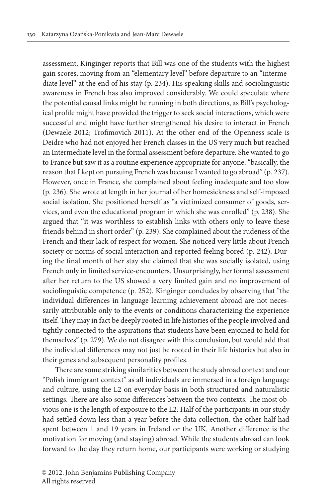assessment, Kinginger reports that Bill was one of the students with the highest gain scores, moving from an "elementary level" before departure to an "intermediate level" at the end of his stay (p. 234). His speaking skills and sociolinguistic awareness in French has also improved considerably. We could speculate where the potential causal links might be running in both directions, as Bill's psychological profile might have provided the trigger to seek social interactions, which were successful and might have further strengthened his desire to interact in French (Dewaele 2012; Trofimovich 2011). At the other end of the Openness scale is Deidre who had not enjoyed her French classes in the US very much but reached an Intermediate level in the formal assessment before departure. She wanted to go to France but saw it as a routine experience appropriate for anyone: "basically, the reason that I kept on pursuing French was because I wanted to go abroad" (p. 237). However, once in France, she complained about feeling inadequate and too slow (p. 236). She wrote at length in her journal of her homesickness and self-imposed social isolation. She positioned herself as "a victimized consumer of goods, services, and even the educational program in which she was enrolled" (p. 238). She argued that "it was worthless to establish links with others only to leave these friends behind in short order" (p. 239). She complained about the rudeness of the French and their lack of respect for women. She noticed very little about French society or norms of social interaction and reported feeling bored (p. 242). During the final month of her stay she claimed that she was socially isolated, using French only in limited service-encounters. Unsurprisingly, her formal assessment after her return to the US showed a very limited gain and no improvement of sociolinguistic competence (p. 252). Kinginger concludes by observing that "the individual differences in language learning achievement abroad are not necessarily attributable only to the events or conditions characterizing the experience itself. They may in fact be deeply rooted in life histories of the people involved and tightly connected to the aspirations that students have been enjoined to hold for themselves" (p. 279). We do not disagree with this conclusion, but would add that the individual differences may not just be rooted in their life histories but also in their genes and subsequent personality profiles.

There are some striking similarities between the study abroad context and our "Polish immigrant context" as all individuals are immersed in a foreign language and culture, using the L2 on everyday basis in both structured and naturalistic settings. There are also some differences between the two contexts. The most obvious one is the length of exposure to the L2. Half of the participants in our study had settled down less than a year before the data collection, the other half had spent between 1 and 19 years in Ireland or the UK. Another difference is the motivation for moving (and staying) abroad. While the students abroad can look forward to the day they return home, our participants were working or studying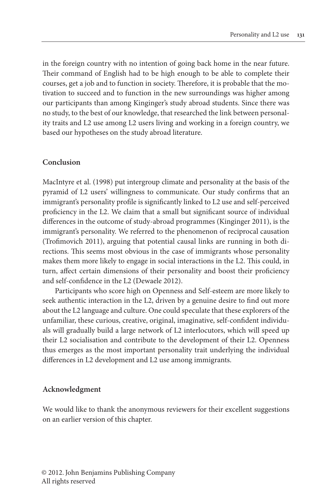in the foreign country with no intention of going back home in the near future. Their command of English had to be high enough to be able to complete their courses, get a job and to function in society. Therefore, it is probable that the motivation to succeed and to function in the new surroundings was higher among our participants than among Kinginger's study abroad students. Since there was no study, to the best of our knowledge, that researched the link between personality traits and L2 use among L2 users living and working in a foreign country, we based our hypotheses on the study abroad literature.

#### **Conclusion**

MacIntyre et al. (1998) put intergroup climate and personality at the basis of the pyramid of L2 users' willingness to communicate. Our study confirms that an immigrant's personality profile is significantly linked to L2 use and self-perceived proficiency in the L2. We claim that a small but significant source of individual differences in the outcome of study-abroad programmes (Kinginger 2011), is the immigrant's personality. We referred to the phenomenon of reciprocal causation (Trofimovich 2011), arguing that potential causal links are running in both directions. This seems most obvious in the case of immigrants whose personality makes them more likely to engage in social interactions in the L2. This could, in turn, affect certain dimensions of their personality and boost their proficiency and self-confidence in the L2 (Dewaele 2012).

Participants who score high on Openness and Self-esteem are more likely to seek authentic interaction in the L2, driven by a genuine desire to find out more about the L2 language and culture. One could speculate that these explorers of the unfamiliar, these curious, creative, original, imaginative, self-confident individuals will gradually build a large network of L2 interlocutors, which will speed up their L2 socialisation and contribute to the development of their L2. Openness thus emerges as the most important personality trait underlying the individual differences in L2 development and L2 use among immigrants.

#### **Acknowledgment**

We would like to thank the anonymous reviewers for their excellent suggestions on an earlier version of this chapter.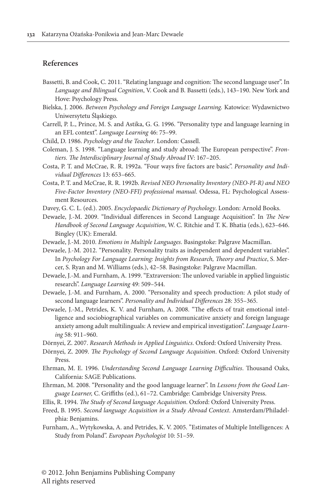#### **References**

- Bassetti, B. and Cook, C. 2011."Relating language and cognition: The second language user". In *Language and Bilingual Cognition*, V. Cook and B. Bassetti (eds.), 143–190. New York and Hove: Psychology Press.
- Bielska, J. 2006. *Between Psychology and Foreign Language Learning.* Katowice: Wydawnictwo Uniwersytetu Śląskiego.
- Carrell, P. L., Prince, M. S. and Astika, G. G. 1996. ["Personality](http://dx.doi.org/10.1111/j.1467-1770.1996.tb00641.x) type and language learning in an EFL context". *[Language Learning](http://dx.doi.org/10.1111/j.1467-1770.1996.tb00641.x)* 46: 75–99.
- Child, D. 1986. *Psychology and the Teacher*. London: Cassell.
- Coleman, J. S. 1998. "Language learning and study abroad: The European perspective". *Frontiers. The Interdisciplinary Journal of Study Abroad* IV: 167–205.
- Costa, P. T. and McCrae, R. R. 1992a. "Four ways five factors are basic". *[Personality and Indi](http://dx.doi.org/10.1016/0191-8869(92)90236-I)[vidual Differences](http://dx.doi.org/10.1016/0191-8869(92)90236-I)* 13: 653–665.
- Costa, P. T. and McCrae, R. R. 1992b. *Revised NEO Personality Inventory (NEO-PI-R) and NEO Five-Factor Inventory (NEO-FFI) professional manual*. Odessa, FL: Psychological Assessment Resources.
- Davey, G. C. L. (ed.). 2005. *Encyclopaedic Dictionary of Psychology*. London: Arnold Books.
- Dewaele, J.-M. 2009. "Individual differences in Second Language Acquisition". In *The New Handbook of Second Language Acquisition*, W. C. Ritchie and T. K. Bhatia (eds.), 623–646. Bingley (UK): Emerald.
- Dewaele, J.-M. 2010. *[Emotions in Multiple Languages](http://dx.doi.org/10.1057/9780230289505)*. Basingstoke: Palgrave Macmillan.
- Dewaele, J.-M. 2012. "Personality. Personality traits as independent and dependent variables". In *Psychology For Language Learning: Insights from Research, Theory and Practice*, S. Mercer, S. Ryan and M. Williams (eds.), 42–58. Basingstoke: Palgrave Macmillan.
- Dewaele, J.-M. and Furnham, A. [1999."Extraversion:](http://dx.doi.org/10.1111/0023-8333.00098) The unloved variable in applied linguistic research". *[Language Learning](http://dx.doi.org/10.1111/0023-8333.00098)* 49: 509–544.
- Dewaele, J.-M. and Furnham, A. 2000. ["Personality](http://dx.doi.org/10.1016/S0191-8869(99)00106-3) and speech production: A pilot study of second language learners". *[Personality and Individual Differences](http://dx.doi.org/10.1016/S0191-8869(99)00106-3)* 28: 355–365.
- Dewaele, J.-M., Petrides, K. V. and Furnham, A. 2008. "The effects of trait [emotional](http://dx.doi.org/10.1111/j.1467-9922.2008.00482.x) intelligence and [sociobiographical](http://dx.doi.org/10.1111/j.1467-9922.2008.00482.x) variables on communicative anxiety and foreign language anxiety among adult multilinguals: A review and empirical investigation". *[Language Learn](http://dx.doi.org/10.1111/j.1467-9922.2008.00482.x)ing* 58: [911–960.](http://dx.doi.org/10.1111/j.1467-9922.2008.00482.x)
- Dörnyei, Z. 2007. *Research Methods in Applied Linguistics*. Oxford: Oxford University Press.
- Dörnyei, Z. 2009. *The Psychology of Second Language Acquisition*. Oxford: Oxford University Press.
- Ehrman, M. E. 1996. *Understanding Second Language Learning Difficulties*. Thousand Oaks, California: SAGE Publications.
- Ehrman, M. 2008. "Personality and the good language learner". In *[Lessons from the Good Lan](http://dx.doi.org/10.1017/CBO9780511497667.007)[guage Learner,](http://dx.doi.org/10.1017/CBO9780511497667.007)* C. Griffiths (ed.), 61–72. Cambridge: Cambridge University Press.
- Ellis, R. 1994. *The Study of Second language Acquisition*. Oxford: Oxford University Press.
- Freed, B. 1995. *Second language Acquisition in a Study Abroad Context*. Amsterdam/Philadelphia: Benjamins.
- Furnham, A., [Wytykowska,](http://dx.doi.org/10.1027/1016-9040.10.1.51) A. and Petrides, K. V. 2005. "Estimates of Multiple Intelligences: A Study from Poland". *[European Psychologist](http://dx.doi.org/10.1027/1016-9040.10.1.51)* 10: 51–59.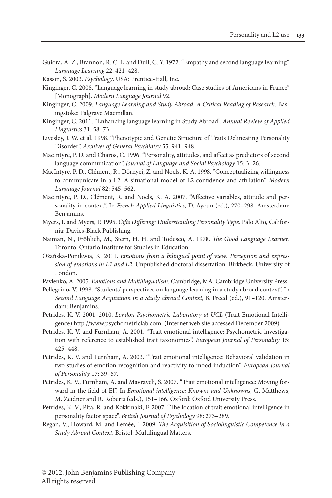Guiora, A. Z., Brannon, R. C. L. and Dull, C. Y. 1972. ["Empathy](http://dx.doi.org/10.1111/j.1467-1770.1972.tb00077.x) and second language learning". *[Language Learning](http://dx.doi.org/10.1111/j.1467-1770.1972.tb00077.x)* 22: 421–428.

Kassin, S. 2003. *Psychology*. USA: Prentice-Hall, Inc.

- Kinginger, C. 2008. "Language learning in study abroad: Case studies of Americans in France" [Monograph]. *Modern Language Journal* 92.
- Kinginger, C. 2009. *[Language Learning and Study Abroad: A Critical Reading of Research.](http://dx.doi.org/10.1057/9780230240766)* Basingstoke: Palgrave [Macmillan.](http://dx.doi.org/10.1057/9780230240766)
- Kinginger, C. 2011. "Enhancing language learning in Study Abroad". *[Annual Review of Applied](http://dx.doi.org/10.1017/S0267190511000031) [Linguistics](http://dx.doi.org/10.1017/S0267190511000031)* 31: 58–73.
- Livesley, J. W. et al. 1998. ["Phenotypic](http://dx.doi.org/10.1001/archpsyc.55.10.941) and Genetic Structure of Traits Delineating Personality Disorder". *[Archives of General Psychiatry](http://dx.doi.org/10.1001/archpsyc.55.10.941)* 55: 941–948.
- MacIntyre, P. D. and Charos, C. 1996. ["Personality,](http://dx.doi.org/10.1177/0261927X960151001) attitudes, and affect as predictors of second language communication". *[Journal of Language and Social Psychology](http://dx.doi.org/10.1177/0261927X960151001)* 15: 3–26.
- MacIntyre, P. D., Clément, R., Dörnyei, Z. and Noels, K. A. 1998. ["Conceptualizing](http://dx.doi.org/10.1111/j.1540-4781.1998.tb05543.x) willingness to [communicate](http://dx.doi.org/10.1111/j.1540-4781.1998.tb05543.x) in a L2: A situational model of L2 confidence and affiliation". *Modern [Language Journal](http://dx.doi.org/10.1111/j.1540-4781.1998.tb05543.x)* 82: 545–562.
- MacIntyre, P. D., Clément, R. and Noels, K. A. 2007. "Affective variables, attitude and personality in context". In *French Applied Linguistics,* D. Ayoun (ed.), 270–298. Amsterdam: Benjamins.
- Myers, I. and Myers, P. 1995. *[Gifts Differing: Understanding Personality Type](http://www.amazon.com/Gifts-Differing-Understanding-Personality-Type/dp/089106074X)*. Palo Alto, California: Davies-Black Publishing.
- Naiman, N., Fröhlich, M., Stern, H. H. and Todesco, A. 1978. *The Good Language Learner*. Toronto: Ontario Institute for Studies in Education.
- Ożańska-Ponikwia, K. 2011. *Emotions from a bilingual point of view: Perception and expression of emotions in L1 and L2*. Unpublished doctoral dissertation. Birkbeck, University of London.
- Pavlenko, A. 2005. *[Emotions and Multilingualism](http://dx.doi.org/10.1017/CBO9780511584305)*. Cambridge, MA: Cambridge University Press.
- Pellegrino, V. 1998. "Students' perspectives on language learning in a study abroad context". In *Second Language Acquisition in a Study abroad Context*, B. Freed (ed.), 91–120. Amsterdam: Benjamins.
- Petrides, K. V. 2001–2010. *London Psychometric Laboratory at UCL* (Trait Emotional Intelligence) http://www.psychometriclab.com. (Internet web site accessed December 2009).
- Petrides, K. V. and Furnham, A. 2001. "Trait emotional intelligence: [Psychometric](http://dx.doi.org/10.1002/per.416) investigation with reference to established trait taxonomies". *[European Journal of Personality](http://dx.doi.org/10.1002/per.416)* 15: [425–448.](http://dx.doi.org/10.1002/per.416)
- Petrides, K. V. and Furnham, A. 2003. "Trait emotional [intelligence:](http://dx.doi.org/10.1002/per.466) Behavioral validation in two studies of emotion recognition and reactivity to mood induction". *[European Journal](http://dx.doi.org/10.1002/per.466) [of Personality](http://dx.doi.org/10.1002/per.466)* 17: 39–57*.*
- Petrides, K. V., Furnham, A. and Mavraveli, S. 2007. "Trait emotional intelligence: Moving forward in the field of EI". In *Emotional intelligence: Knowns and Unknowns,* G. Matthews, M. Zeidner and R. Roberts (eds.), 151–166. Oxford: Oxford University Press.
- Petrides, K. V., Pita, R. and Kokkinaki, F. 2007. "The location of trait emotional [intelligence](http://dx.doi.org/10.1348/000712606X120618) in personality factor space". *[British Journal of Psychology](http://dx.doi.org/10.1348/000712606X120618)* 98: 273–289.
- Regan, V., Howard, M. and Lemée, I. 2009. *The Acquisition of Sociolinguistic Competence in a Study Abroad Context*. Bristol: Multilingual Matters.